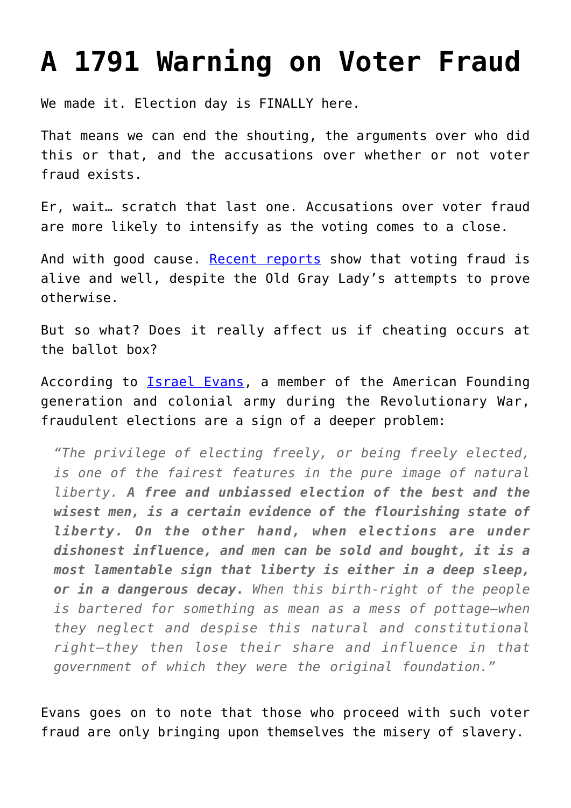## **[A 1791 Warning on Voter Fraud](https://intellectualtakeout.org/2016/11/a-1791-warning-on-voter-fraud/)**

We made it. Election day is FINALLY here.

That means we can end the shouting, the arguments over who did this or that, and the accusations over whether or not voter fraud exists.

Er, wait… scratch that last one. Accusations over voter fraud are more likely to intensify as the voting comes to a close.

And with good cause. [Recent reports](https://www.intellectualtakeout.org/blog/dead-voters-found-colorado-days-after-nyt-called-election-fraud-myth) show that voting fraud is alive and well, despite the Old Gray Lady's attempts to prove otherwise.

But so what? Does it really affect us if cheating occurs at the ballot box?

According to [Israel Evans,](http://oll.libertyfund.org/titles/sandoz-political-sermons-of-the-american-founding-era-vol-2-1789-1805) a member of the American Founding generation and colonial army during the Revolutionary War, fraudulent elections are a sign of a deeper problem:

*"The privilege of electing freely, or being freely elected, is one of the fairest features in the pure image of natural liberty. A free and unbiassed election of the best and the wisest men, is a certain evidence of the flourishing state of liberty. On the other hand, when elections are under dishonest influence, and men can be sold and bought, it is a most lamentable sign that liberty is either in a deep sleep, or in a dangerous decay. When this birth-right of the people is bartered for something as mean as a mess of pottage—when they neglect and despise this natural and constitutional right—they then lose their share and influence in that government of which they were the original foundation."*

Evans goes on to note that those who proceed with such voter fraud are only bringing upon themselves the misery of slavery.